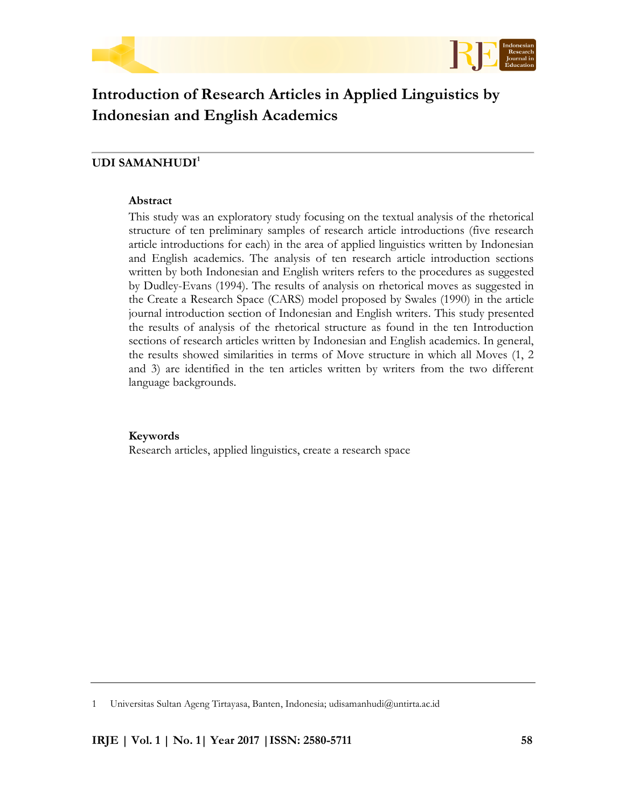



# **Introduction of Research Articles in Applied Linguistics by Indonesian and English Academics**

## **UDI SAMANHUDI<sup>1</sup>**

## **Abstract**

This study was an exploratory study focusing on the textual analysis of the rhetorical structure of ten preliminary samples of research article introductions (five research article introductions for each) in the area of applied linguistics written by Indonesian and English academics. The analysis of ten research article introduction sections written by both Indonesian and English writers refers to the procedures as suggested by Dudley-Evans (1994). The results of analysis on rhetorical moves as suggested in the Create a Research Space (CARS) model proposed by Swales (1990) in the article journal introduction section of Indonesian and English writers. This study presented the results of analysis of the rhetorical structure as found in the ten Introduction sections of research articles written by Indonesian and English academics. In general, the results showed similarities in terms of Move structure in which all Moves (1, 2 and 3) are identified in the ten articles written by writers from the two different language backgrounds.

## **Keywords**

Research articles, applied linguistics, create a research space

<sup>1</sup> Universitas Sultan Ageng Tirtayasa, Banten, Indonesia; udisamanhudi@untirta.ac.id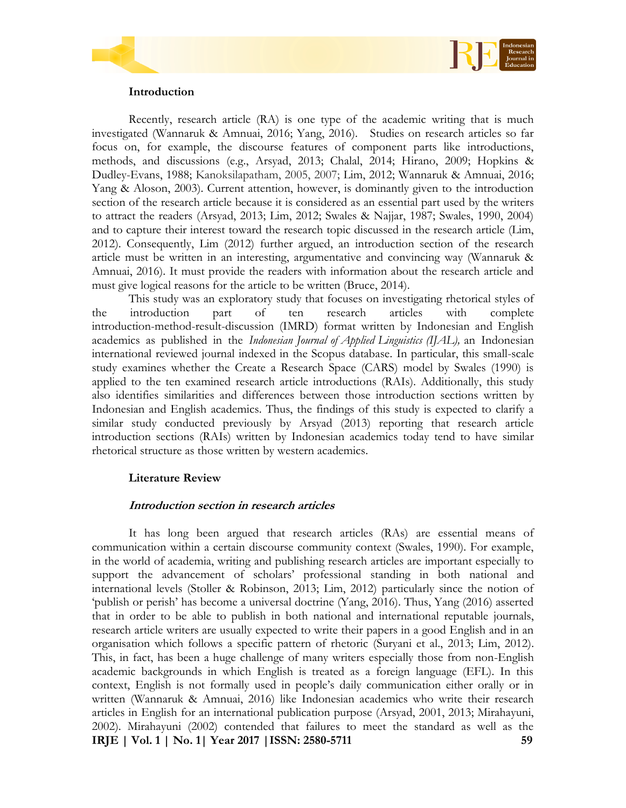



### **Introduction**

Recently, research article (RA) is one type of the academic writing that is much investigated (Wannaruk & Amnuai, 2016; Yang, 2016). Studies on research articles so far focus on, for example, the discourse features of component parts like introductions, methods, and discussions (e.g., Arsyad, 2013; Chalal, 2014; Hirano, 2009; Hopkins & Dudley-Evans, 1988; Kanoksilapatham, 2005, 2007; Lim, 2012; Wannaruk & Amnuai, 2016; Yang & Aloson, 2003). Current attention, however, is dominantly given to the introduction section of the research article because it is considered as an essential part used by the writers to attract the readers (Arsyad, 2013; Lim, 2012; Swales & Najjar, 1987; Swales, 1990, 2004) and to capture their interest toward the research topic discussed in the research article (Lim, 2012). Consequently, Lim (2012) further argued, an introduction section of the research article must be written in an interesting, argumentative and convincing way (Wannaruk & Amnuai, 2016). It must provide the readers with information about the research article and must give logical reasons for the article to be written (Bruce, 2014).

This study was an exploratory study that focuses on investigating rhetorical styles of the introduction part of ten research articles with complete introduction-method-result-discussion (IMRD) format written by Indonesian and English academics as published in the *Indonesian Journal of Applied Linguistics (IJAL),* an Indonesian international reviewed journal indexed in the Scopus database*.* In particular, this small-scale study examines whether the Create a Research Space (CARS) model by Swales (1990) is applied to the ten examined research article introductions (RAIs). Additionally, this study also identifies similarities and differences between those introduction sections written by Indonesian and English academics. Thus, the findings of this study is expected to clarify a similar study conducted previously by Arsyad (2013) reporting that research article introduction sections (RAIs) written by Indonesian academics today tend to have similar rhetorical structure as those written by western academics.

## **Literature Review**

## **Introduction section in research articles**

**IRJE | Vol. 1 | No. 1| Year 2017 |ISSN: 2580-5711 59** It has long been argued that research articles (RAs) are essential means of communication within a certain discourse community context (Swales, 1990). For example, in the world of academia, writing and publishing research articles are important especially to support the advancement of scholars' professional standing in both national and international levels (Stoller & Robinson, 2013; Lim, 2012) particularly since the notion of 'publish or perish' has become a universal doctrine (Yang, 2016). Thus, Yang (2016) asserted that in order to be able to publish in both national and international reputable journals, research article writers are usually expected to write their papers in a good English and in an organisation which follows a specific pattern of rhetoric (Suryani et al., 2013; Lim, 2012). This, in fact, has been a huge challenge of many writers especially those from non-English academic backgrounds in which English is treated as a foreign language (EFL). In this context, English is not formally used in people's daily communication either orally or in written (Wannaruk & Amnuai, 2016) like Indonesian academics who write their research articles in English for an international publication purpose (Arsyad, 2001, 2013; Mirahayuni, 2002). Mirahayuni (2002) contended that failures to meet the standard as well as the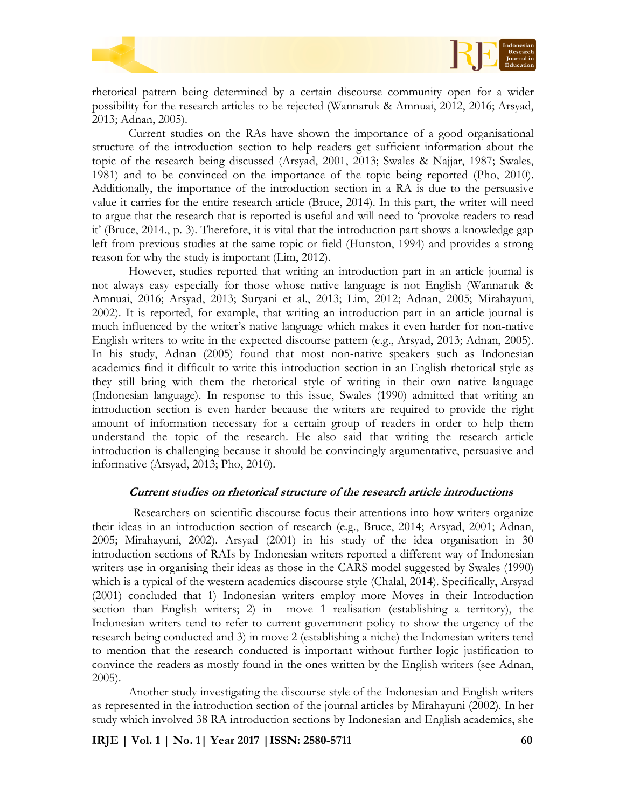

rhetorical pattern being determined by a certain discourse community open for a wider possibility for the research articles to be rejected (Wannaruk & Amnuai, 2012, 2016; Arsyad, 2013; Adnan, 2005).

Current studies on the RAs have shown the importance of a good organisational structure of the introduction section to help readers get sufficient information about the topic of the research being discussed (Arsyad, 2001, 2013; Swales & Najjar, 1987; Swales, 1981) and to be convinced on the importance of the topic being reported (Pho, 2010). Additionally, the importance of the introduction section in a RA is due to the persuasive value it carries for the entire research article (Bruce, 2014). In this part, the writer will need to argue that the research that is reported is useful and will need to 'provoke readers to read it' (Bruce, 2014., p. 3). Therefore, it is vital that the introduction part shows a knowledge gap left from previous studies at the same topic or field (Hunston, 1994) and provides a strong reason for why the study is important (Lim, 2012).

However, studies reported that writing an introduction part in an article journal is not always easy especially for those whose native language is not English (Wannaruk & Amnuai, 2016; Arsyad, 2013; Suryani et al., 2013; Lim, 2012; Adnan, 2005; Mirahayuni, 2002). It is reported, for example, that writing an introduction part in an article journal is much influenced by the writer's native language which makes it even harder for non-native English writers to write in the expected discourse pattern (e.g., Arsyad, 2013; Adnan, 2005). In his study, Adnan (2005) found that most non-native speakers such as Indonesian academics find it difficult to write this introduction section in an English rhetorical style as they still bring with them the rhetorical style of writing in their own native language (Indonesian language). In response to this issue, Swales (1990) admitted that writing an introduction section is even harder because the writers are required to provide the right amount of information necessary for a certain group of readers in order to help them understand the topic of the research. He also said that writing the research article introduction is challenging because it should be convincingly argumentative, persuasive and informative (Arsyad, 2013; Pho, 2010).

#### **Current studies on rhetorical structure of the research article introductions**

Researchers on scientific discourse focus their attentions into how writers organize their ideas in an introduction section of research (e.g., Bruce, 2014; Arsyad, 2001; Adnan, 2005; Mirahayuni, 2002). Arsyad (2001) in his study of the idea organisation in 30 introduction sections of RAIs by Indonesian writers reported a different way of Indonesian writers use in organising their ideas as those in the CARS model suggested by Swales (1990) which is a typical of the western academics discourse style (Chalal, 2014). Specifically, Arsyad (2001) concluded that 1) Indonesian writers employ more Moves in their Introduction section than English writers; 2) in move 1 realisation (establishing a territory), the Indonesian writers tend to refer to current government policy to show the urgency of the research being conducted and 3) in move 2 (establishing a niche) the Indonesian writers tend to mention that the research conducted is important without further logic justification to convince the readers as mostly found in the ones written by the English writers (see Adnan, 2005).

Another study investigating the discourse style of the Indonesian and English writers as represented in the introduction section of the journal articles by Mirahayuni (2002). In her study which involved 38 RA introduction sections by Indonesian and English academics, she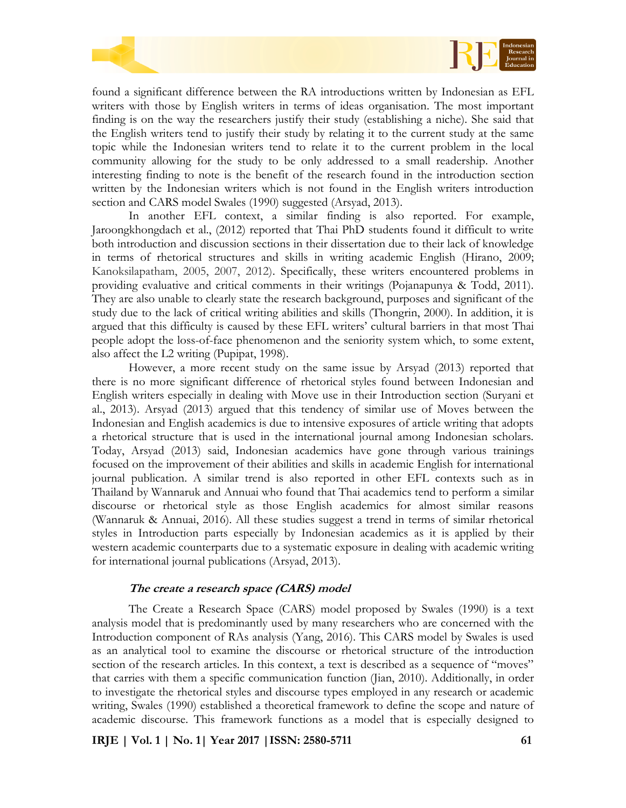



found a significant difference between the RA introductions written by Indonesian as EFL writers with those by English writers in terms of ideas organisation. The most important finding is on the way the researchers justify their study (establishing a niche). She said that the English writers tend to justify their study by relating it to the current study at the same topic while the Indonesian writers tend to relate it to the current problem in the local community allowing for the study to be only addressed to a small readership. Another interesting finding to note is the benefit of the research found in the introduction section written by the Indonesian writers which is not found in the English writers introduction section and CARS model Swales (1990) suggested (Arsyad, 2013).

In another EFL context, a similar finding is also reported. For example, Jaroongkhongdach et al., (2012) reported that Thai PhD students found it difficult to write both introduction and discussion sections in their dissertation due to their lack of knowledge in terms of rhetorical structures and skills in writing academic English (Hirano, 2009; Kanoksilapatham, 2005, 2007, 2012). Specifically, these writers encountered problems in providing evaluative and critical comments in their writings (Pojanapunya & Todd, 2011). They are also unable to clearly state the research background, purposes and significant of the study due to the lack of critical writing abilities and skills (Thongrin, 2000). In addition, it is argued that this difficulty is caused by these EFL writers' cultural barriers in that most Thai people adopt the loss-of-face phenomenon and the seniority system which, to some extent, also affect the L2 writing (Pupipat, 1998).

However, a more recent study on the same issue by Arsyad (2013) reported that there is no more significant difference of rhetorical styles found between Indonesian and English writers especially in dealing with Move use in their Introduction section (Suryani et al., 2013). Arsyad (2013) argued that this tendency of similar use of Moves between the Indonesian and English academics is due to intensive exposures of article writing that adopts a rhetorical structure that is used in the international journal among Indonesian scholars. Today, Arsyad (2013) said, Indonesian academics have gone through various trainings focused on the improvement of their abilities and skills in academic English for international journal publication. A similar trend is also reported in other EFL contexts such as in Thailand by Wannaruk and Annuai who found that Thai academics tend to perform a similar discourse or rhetorical style as those English academics for almost similar reasons (Wannaruk & Annuai, 2016). All these studies suggest a trend in terms of similar rhetorical styles in Introduction parts especially by Indonesian academics as it is applied by their western academic counterparts due to a systematic exposure in dealing with academic writing for international journal publications (Arsyad, 2013).

### **The create a research space (CARS) model**

The Create a Research Space (CARS) model proposed by Swales (1990) is a text analysis model that is predominantly used by many researchers who are concerned with the Introduction component of RAs analysis (Yang, 2016). This CARS model by Swales is used as an analytical tool to examine the discourse or rhetorical structure of the introduction section of the research articles. In this context, a text is described as a sequence of "moves" that carries with them a specific communication function (Jian, 2010). Additionally, in order to investigate the rhetorical styles and discourse types employed in any research or academic writing, Swales (1990) established a theoretical framework to define the scope and nature of academic discourse. This framework functions as a model that is especially designed to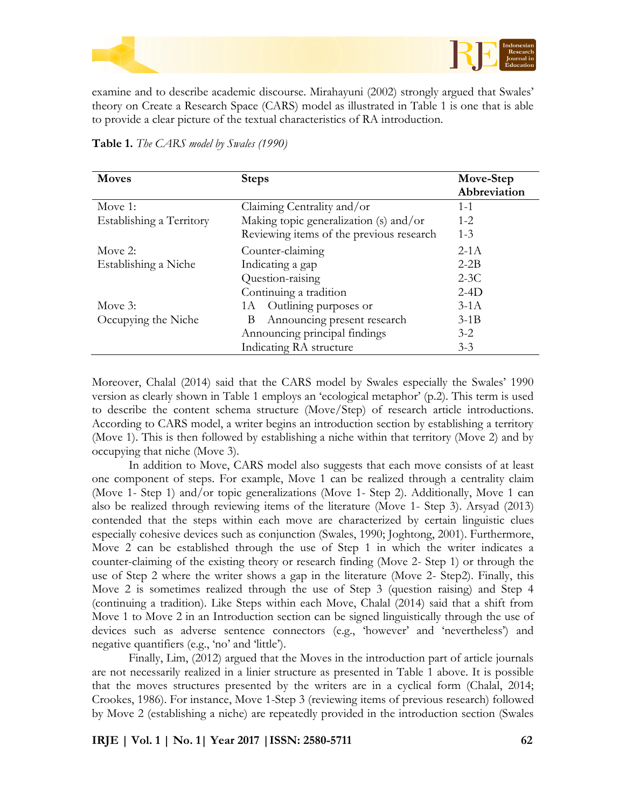

examine and to describe academic discourse. Mirahayuni (2002) strongly argued that Swales' theory on Create a Research Space (CARS) model as illustrated in Table 1 is one that is able to provide a clear picture of the textual characteristics of RA introduction.

| Table 1. The CARS model by Swales (1990) |  |  |  |  |
|------------------------------------------|--|--|--|--|
|------------------------------------------|--|--|--|--|

| <b>Moves</b>             | <b>Steps</b>                             | Move-Step<br>Abbreviation |
|--------------------------|------------------------------------------|---------------------------|
| Move 1:                  | Claiming Centrality and/or               | $1 - 1$                   |
| Establishing a Territory | Making topic generalization (s) and/or   | $1 - 2$                   |
|                          | Reviewing items of the previous research | $1 - 3$                   |
| Move $2$ :               | Counter-claiming                         | $2-1A$                    |
| Establishing a Niche     | Indicating a gap                         | $2 - 2B$                  |
|                          | Question-raising                         | $2-3C$                    |
|                          | Continuing a tradition                   | $2-4D$                    |
| Move 3:                  | 1A Outlining purposes or                 | $3-1A$                    |
| Occupying the Niche      | Announcing present research<br>B         | $3-1B$                    |
|                          | Announcing principal findings            | $3-2$                     |
|                          | Indicating RA structure                  | $3 - 3$                   |

Moreover, Chalal (2014) said that the CARS model by Swales especially the Swales' 1990 version as clearly shown in Table 1 employs an 'ecological metaphor' (p.2). This term is used to describe the content schema structure (Move/Step) of research article introductions. According to CARS model, a writer begins an introduction section by establishing a territory (Move 1). This is then followed by establishing a niche within that territory (Move 2) and by occupying that niche (Move 3).

In addition to Move, CARS model also suggests that each move consists of at least one component of steps. For example, Move 1 can be realized through a centrality claim (Move 1- Step 1) and/or topic generalizations (Move 1- Step 2). Additionally, Move 1 can also be realized through reviewing items of the literature (Move 1- Step 3). Arsyad (2013) contended that the steps within each move are characterized by certain linguistic clues especially cohesive devices such as conjunction (Swales, 1990; Joghtong, 2001). Furthermore, Move 2 can be established through the use of Step 1 in which the writer indicates a counter-claiming of the existing theory or research finding (Move 2- Step 1) or through the use of Step 2 where the writer shows a gap in the literature (Move 2- Step2). Finally, this Move 2 is sometimes realized through the use of Step 3 (question raising) and Step 4 (continuing a tradition). Like Steps within each Move, Chalal (2014) said that a shift from Move 1 to Move 2 in an Introduction section can be signed linguistically through the use of devices such as adverse sentence connectors (e.g., 'however' and 'nevertheless') and negative quantifiers (e.g., 'no' and 'little').

Finally, Lim, (2012) argued that the Moves in the introduction part of article journals are not necessarily realized in a linier structure as presented in Table 1 above. It is possible that the moves structures presented by the writers are in a cyclical form (Chalal, 2014; Crookes, 1986). For instance, Move 1-Step 3 (reviewing items of previous research) followed by Move 2 (establishing a niche) are repeatedly provided in the introduction section (Swales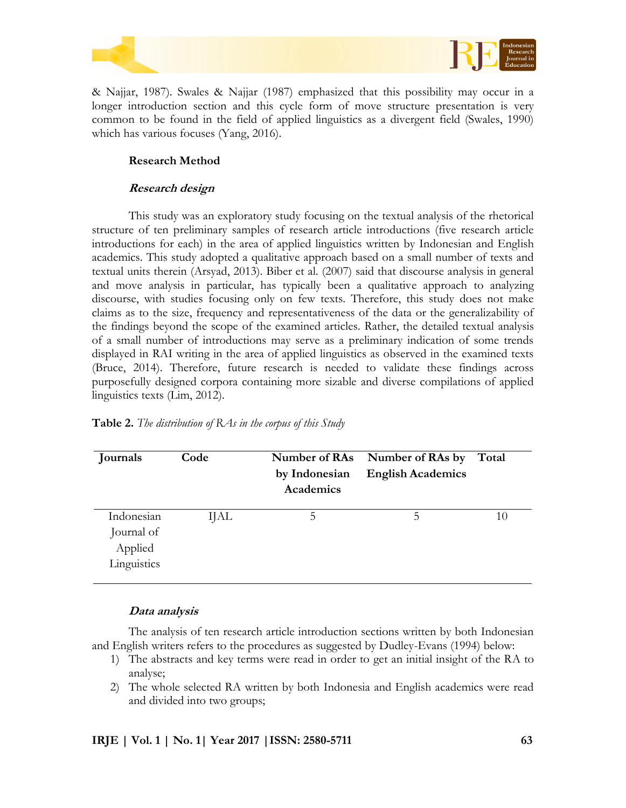



& Najjar, 1987). Swales & Najjar (1987) emphasized that this possibility may occur in a longer introduction section and this cycle form of move structure presentation is very common to be found in the field of applied linguistics as a divergent field (Swales, 1990) which has various focuses (Yang, 2016).

## **Research Method**

## **Research design**

This study was an exploratory study focusing on the textual analysis of the rhetorical structure of ten preliminary samples of research article introductions (five research article introductions for each) in the area of applied linguistics written by Indonesian and English academics. This study adopted a qualitative approach based on a small number of texts and textual units therein (Arsyad, 2013). Biber et al. (2007) said that discourse analysis in general and move analysis in particular, has typically been a qualitative approach to analyzing discourse, with studies focusing only on few texts. Therefore, this study does not make claims as to the size, frequency and representativeness of the data or the generalizability of the findings beyond the scope of the examined articles. Rather, the detailed textual analysis of a small number of introductions may serve as a preliminary indication of some trends displayed in RAI writing in the area of applied linguistics as observed in the examined texts (Bruce, 2014). Therefore, future research is needed to validate these findings across purposefully designed corpora containing more sizable and diverse compilations of applied linguistics texts (Lim, 2012).

| <b>Journals</b> | Code        | Number of RAs<br>by Indonesian<br>Academics | Number of RAs by<br><b>English Academics</b> | Total |
|-----------------|-------------|---------------------------------------------|----------------------------------------------|-------|
| Indonesian      | <b>IJAL</b> | 5                                           | 5                                            | 10    |
| Journal of      |             |                                             |                                              |       |
| Applied         |             |                                             |                                              |       |
| Linguistics     |             |                                             |                                              |       |

### **Table 2.** *The distribution of RAs in the corpus of this Study*

### **Data analysis**

The analysis of ten research article introduction sections written by both Indonesian and English writers refers to the procedures as suggested by Dudley-Evans (1994) below:

- 1) The abstracts and key terms were read in order to get an initial insight of the RA to analyse;
- 2) The whole selected RA written by both Indonesia and English academics were read and divided into two groups;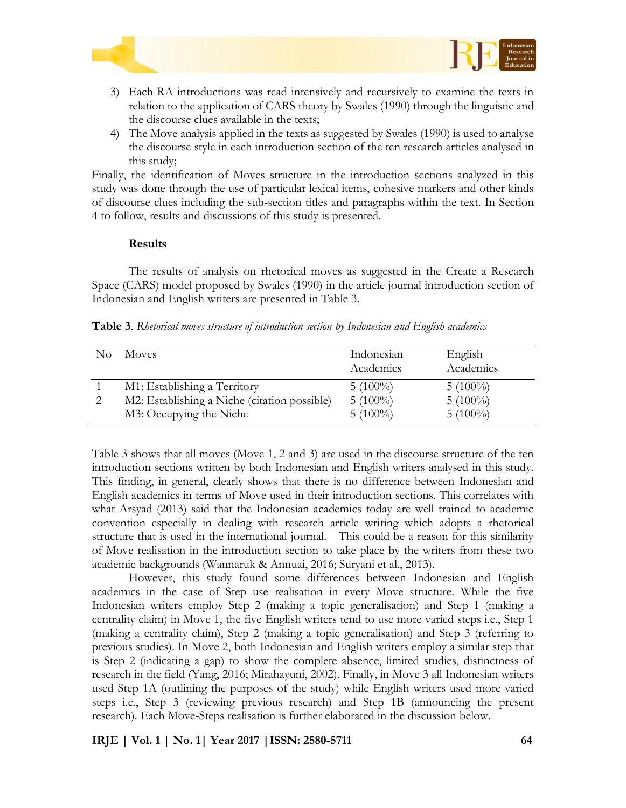



- 3) Each RA introductions was read intensively and recursively to examine the texts in relation to the application of CARS theory by Swales (1990) through the linguistic and the discourse clues available in the texts;
- 4) The Move analysis applied in the texts as suggested by Swales (1990) is used to analyse the discourse style in each introduction section of the ten research articles analysed in this study;

Finally, the identification of Moves structure in the introduction sections analyzed in this study was done through the use of particular lexical items, cohesive markers and other kinds of discourse clues including the sub-section titles and paragraphs within the text. In Section 4 to follow, results and discussions of this study is presented.

#### **Results**

The results of analysis on rhetorical moves as suggested in the Create a Research Space (CARS) model proposed by Swales (1990) in the article journal introduction section of Indonesian and English writers are presented in Table 3.

**Table 3**. *Rhetorical moves structure of introduction section by Indonesian and English academics*

| No. | <b>Moves</b>                                 | Indonesian<br>Academics | English<br>Academics |
|-----|----------------------------------------------|-------------------------|----------------------|
|     | M1: Establishing a Territory                 | $5(100\%)$              | $5(100\%)$           |
|     | M2: Establishing a Niche (citation possible) | $5(100\%)$              | $5(100\%)$           |
|     | M3: Occupying the Niche                      | $5(100\%)$              | $5(100\%)$           |

Table 3 shows that all moves (Move 1, 2 and 3) are used in the discourse structure of the ten introduction sections written by both Indonesian and English writers analysed in this study. This finding, in general, clearly shows that there is no difference between Indonesian and English academics in terms of Move used in their introduction sections. This correlates with what Arsyad (2013) said that the Indonesian academics today are well trained to academic convention especially in dealing with research article writing which adopts a rhetorical structure that is used in the international journal. This could be a reason for this similarity of Move realisation in the introduction section to take place by the writers from these two academic backgrounds (Wannaruk & Annuai, 2016; Suryani et al., 2013).

However, this study found some differences between Indonesian and English academics in the case of Step use realisation in every Move structure. While the five Indonesian writers employ Step 2 (making a topic generalisation) and Step 1 (making a centrality claim) in Move 1, the five English writers tend to use more varied steps i.e., Step 1 (making a centrality claim), Step 2 (making a topic generalisation) and Step 3 (referring to previous studies). In Move 2, both Indonesian and English writers employ a similar step that is Step 2 (indicating a gap) to show the complete absence, limited studies, distinctness of research in the field (Yang, 2016; Mirahayuni, 2002). Finally, in Move 3 all Indonesian writers used Step 1A (outlining the purposes of the study) while English writers used more varied steps i.e., Step 3 (reviewing previous research) and Step 1B (announcing the present research). Each Move-Steps realisation is further elaborated in the discussion below.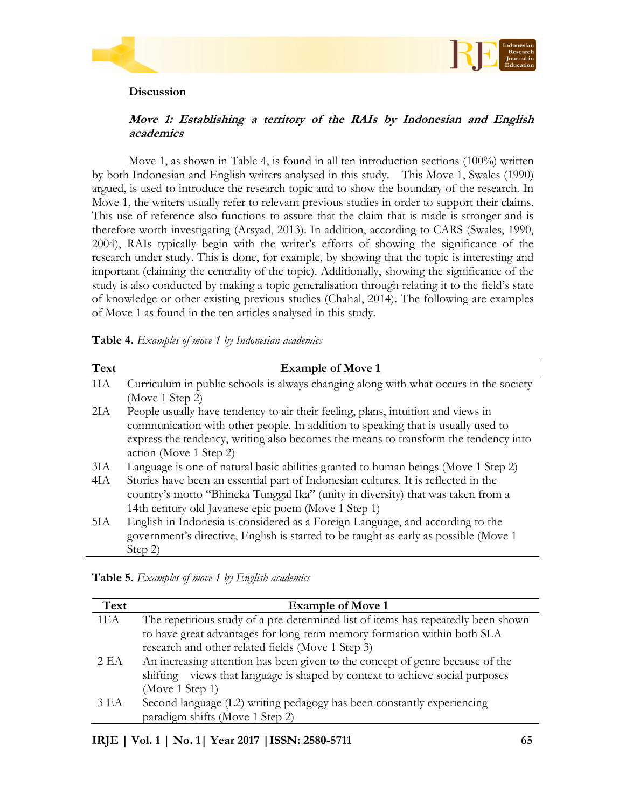



# **Discussion**

# **Move 1: Establishing a territory of the RAIs by Indonesian and English academics**

Move 1, as shown in Table 4, is found in all ten introduction sections (100%) written by both Indonesian and English writers analysed in this study. This Move 1, Swales (1990) argued, is used to introduce the research topic and to show the boundary of the research. In Move 1, the writers usually refer to relevant previous studies in order to support their claims. This use of reference also functions to assure that the claim that is made is stronger and is therefore worth investigating (Arsyad, 2013). In addition, according to CARS (Swales, 1990, 2004), RAIs typically begin with the writer's efforts of showing the significance of the research under study. This is done, for example, by showing that the topic is interesting and important (claiming the centrality of the topic). Additionally, showing the significance of the study is also conducted by making a topic generalisation through relating it to the field's state of knowledge or other existing previous studies (Chahal, 2014). The following are examples of Move 1 as found in the ten articles analysed in this study.

|  | Table 4. Examples of move 1 by Indonesian academics |  |  |  |  |
|--|-----------------------------------------------------|--|--|--|--|
|--|-----------------------------------------------------|--|--|--|--|

| Text            | <b>Example of Move 1</b>                                                              |
|-----------------|---------------------------------------------------------------------------------------|
| 1I <sub>A</sub> | Curriculum in public schools is always changing along with what occurs in the society |
|                 | (Move 1 Step 2)                                                                       |
| 2I A            | People usually have tendency to air their feeling, plans, intuition and views in      |
|                 | communication with other people. In addition to speaking that is usually used to      |
|                 | express the tendency, writing also becomes the means to transform the tendency into   |
|                 | action (Move 1 Step 2)                                                                |
| 3I <sub>A</sub> | Language is one of natural basic abilities granted to human beings (Move 1 Step 2)    |
| 4IA             | Stories have been an essential part of Indonesian cultures. It is reflected in the    |
|                 | country's motto "Bhineka Tunggal Ika" (unity in diversity) that was taken from a      |
|                 | 14th century old Javanese epic poem (Move 1 Step 1)                                   |
| 5IA             | English in Indonesia is considered as a Foreign Language, and according to the        |
|                 | government's directive, English is started to be taught as early as possible (Move 1  |
|                 | Step $2$ )                                                                            |

| Table 5. Examples of move 1 by English academics |  |  |  |
|--------------------------------------------------|--|--|--|
|--------------------------------------------------|--|--|--|

| Text | <b>Example of Move 1</b>                                                          |
|------|-----------------------------------------------------------------------------------|
| 1EA  | The repetitious study of a pre-determined list of items has repeatedly been shown |
|      | to have great advantages for long-term memory formation within both SLA           |
|      | research and other related fields (Move 1 Step 3)                                 |
| 2EA  | An increasing attention has been given to the concept of genre because of the     |
|      | shifting views that language is shaped by context to achieve social purposes      |
|      | (Move 1 Step 1)                                                                   |
| 3EA  | Second language (L2) writing pedagogy has been constantly experiencing            |
|      | paradigm shifts (Move 1 Step 2)                                                   |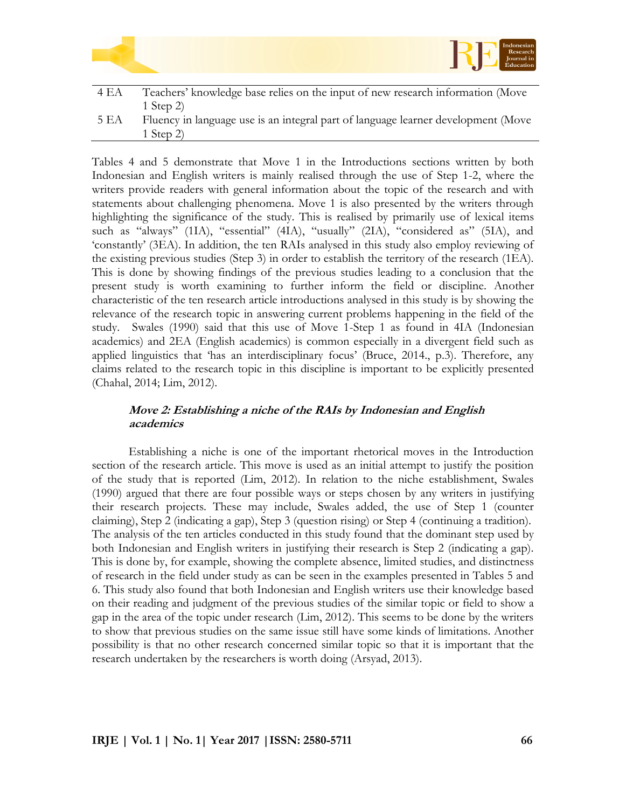|      | Indonesian<br>RF<br>Research<br>Journal in<br>Education                           |
|------|-----------------------------------------------------------------------------------|
| 4 EA | Teachers' knowledge base relies on the input of new research information (Move    |
|      | 1 Step $2$ )                                                                      |
| 5 EA | Fluency in language use is an integral part of language learner development (Move |
|      | 1 Step 2)                                                                         |

Tables 4 and 5 demonstrate that Move 1 in the Introductions sections written by both Indonesian and English writers is mainly realised through the use of Step 1-2, where the writers provide readers with general information about the topic of the research and with statements about challenging phenomena. Move 1 is also presented by the writers through highlighting the significance of the study. This is realised by primarily use of lexical items such as "always" (1IA), "essential" (4IA), "usually" (2IA), "considered as" (5IA), and 'constantly' (3EA). In addition, the ten RAIs analysed in this study also employ reviewing of the existing previous studies (Step 3) in order to establish the territory of the research (1EA). This is done by showing findings of the previous studies leading to a conclusion that the present study is worth examining to further inform the field or discipline. Another characteristic of the ten research article introductions analysed in this study is by showing the relevance of the research topic in answering current problems happening in the field of the study. Swales (1990) said that this use of Move 1-Step 1 as found in 4IA (Indonesian academics) and 2EA (English academics) is common especially in a divergent field such as applied linguistics that 'has an interdisciplinary focus' (Bruce, 2014., p.3). Therefore, any claims related to the research topic in this discipline is important to be explicitly presented (Chahal, 2014; Lim, 2012).

# **Move 2: Establishing a niche of the RAIs by Indonesian and English academics**

Establishing a niche is one of the important rhetorical moves in the Introduction section of the research article. This move is used as an initial attempt to justify the position of the study that is reported (Lim, 2012). In relation to the niche establishment, Swales (1990) argued that there are four possible ways or steps chosen by any writers in justifying their research projects. These may include, Swales added, the use of Step 1 (counter claiming), Step 2 (indicating a gap), Step 3 (question rising) or Step 4 (continuing a tradition). The analysis of the ten articles conducted in this study found that the dominant step used by both Indonesian and English writers in justifying their research is Step 2 (indicating a gap). This is done by, for example, showing the complete absence, limited studies, and distinctness of research in the field under study as can be seen in the examples presented in Tables 5 and 6. This study also found that both Indonesian and English writers use their knowledge based on their reading and judgment of the previous studies of the similar topic or field to show a gap in the area of the topic under research (Lim, 2012). This seems to be done by the writers to show that previous studies on the same issue still have some kinds of limitations. Another possibility is that no other research concerned similar topic so that it is important that the research undertaken by the researchers is worth doing (Arsyad, 2013).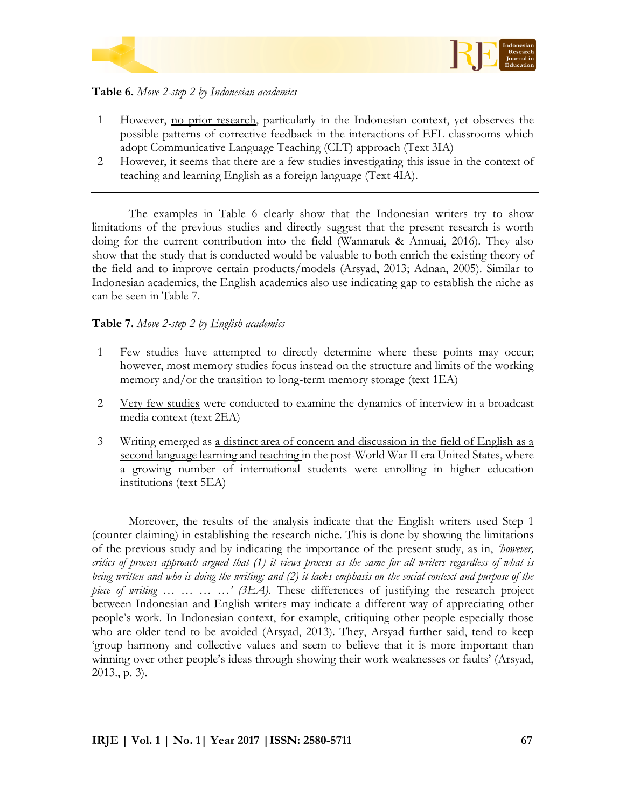

**Table 6.** *Move 2-step 2 by Indonesian academics*

- 1 However, no prior research, particularly in the Indonesian context, yet observes the possible patterns of corrective feedback in the interactions of EFL classrooms which adopt Communicative Language Teaching (CLT) approach (Text 3IA)
- 2 However, it seems that there are a few studies investigating this issue in the context of teaching and learning English as a foreign language (Text 4IA).

The examples in Table 6 clearly show that the Indonesian writers try to show limitations of the previous studies and directly suggest that the present research is worth doing for the current contribution into the field (Wannaruk & Annuai, 2016). They also show that the study that is conducted would be valuable to both enrich the existing theory of the field and to improve certain products/models (Arsyad, 2013; Adnan, 2005). Similar to Indonesian academics, the English academics also use indicating gap to establish the niche as can be seen in Table 7.

# **Table 7.** *Move 2-step 2 by English academics*

- 1 Few studies have attempted to directly determine where these points may occur; however, most memory studies focus instead on the structure and limits of the working memory and/or the transition to long-term memory storage (text 1EA)
- 2 Very few studies were conducted to examine the dynamics of interview in a broadcast media context (text 2EA)
- 3 Writing emerged as a distinct area of concern and discussion in the field of English as a second language learning and teaching in the post-World War II era United States, where a growing number of international students were enrolling in higher education institutions (text 5EA)

Moreover, the results of the analysis indicate that the English writers used Step 1 (counter claiming) in establishing the research niche. This is done by showing the limitations of the previous study and by indicating the importance of the present study, as in, *'however, critics of process approach argued that (1) it views process as the same for all writers regardless of what is being written and who is doing the writing; and (2) it lacks emphasis on the social context and purpose of the piece of writing … … … …' (3EA)*. These differences of justifying the research project between Indonesian and English writers may indicate a different way of appreciating other people's work. In Indonesian context, for example, critiquing other people especially those who are older tend to be avoided (Arsyad, 2013). They, Arsyad further said, tend to keep 'group harmony and collective values and seem to believe that it is more important than winning over other people's ideas through showing their work weaknesses or faults' (Arsyad, 2013., p. 3).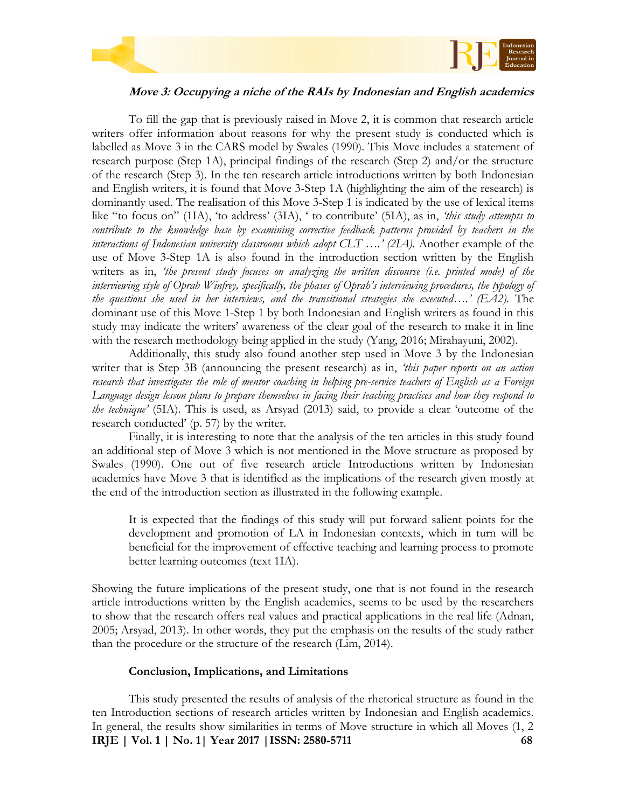



# **Move 3: Occupying a niche of the RAIs by Indonesian and English academics**

To fill the gap that is previously raised in Move 2, it is common that research article writers offer information about reasons for why the present study is conducted which is labelled as Move 3 in the CARS model by Swales (1990). This Move includes a statement of research purpose (Step 1A), principal findings of the research (Step 2) and/or the structure of the research (Step 3). In the ten research article introductions written by both Indonesian and English writers, it is found that Move 3-Step 1A (highlighting the aim of the research) is dominantly used. The realisation of this Move 3-Step 1 is indicated by the use of lexical items like "to focus on" (1IA), 'to address' (3IA), ' to contribute' (5IA), as in, *'this study attempts to contribute to the knowledge base by examining corrective feedback patterns provided by teachers in the interactions of Indonesian university classrooms which adopt CLT ....' (2IA).* Another example of the use of Move 3-Step 1A is also found in the introduction section written by the English writers as in, *'the present study focuses on analyzing the written discourse (i.e. printed mode) of the interviewing style of Oprah Winfrey, specifically, the phases of Oprah's interviewing procedures, the typology of the questions she used in her interviews, and the transitional strategies she executed….' (EA2).* The dominant use of this Move 1-Step 1 by both Indonesian and English writers as found in this study may indicate the writers' awareness of the clear goal of the research to make it in line with the research methodology being applied in the study (Yang, 2016; Mirahayuni, 2002).

Additionally, this study also found another step used in Move 3 by the Indonesian writer that is Step 3B (announcing the present research) as in, *'this paper reports on an action research that investigates the role of mentor coaching in helping pre-service teachers of English as a Foreign Language design lesson plans to prepare themselves in facing their teaching practices and how they respond to the technique'* (5IA). This is used, as Arsyad (2013) said, to provide a clear 'outcome of the research conducted' (p. 57) by the writer.

Finally, it is interesting to note that the analysis of the ten articles in this study found an additional step of Move 3 which is not mentioned in the Move structure as proposed by Swales (1990). One out of five research article Introductions written by Indonesian academics have Move 3 that is identified as the implications of the research given mostly at the end of the introduction section as illustrated in the following example.

It is expected that the findings of this study will put forward salient points for the development and promotion of LA in Indonesian contexts, which in turn will be beneficial for the improvement of effective teaching and learning process to promote better learning outcomes (text 1IA).

Showing the future implications of the present study, one that is not found in the research article introductions written by the English academics, seems to be used by the researchers to show that the research offers real values and practical applications in the real life (Adnan, 2005; Arsyad, 2013). In other words, they put the emphasis on the results of the study rather than the procedure or the structure of the research (Lim, 2014).

## **Conclusion, Implications, and Limitations**

**IRJE | Vol. 1 | No. 1| Year 2017 |ISSN: 2580-5711 68** This study presented the results of analysis of the rhetorical structure as found in the ten Introduction sections of research articles written by Indonesian and English academics. In general, the results show similarities in terms of Move structure in which all Moves (1, 2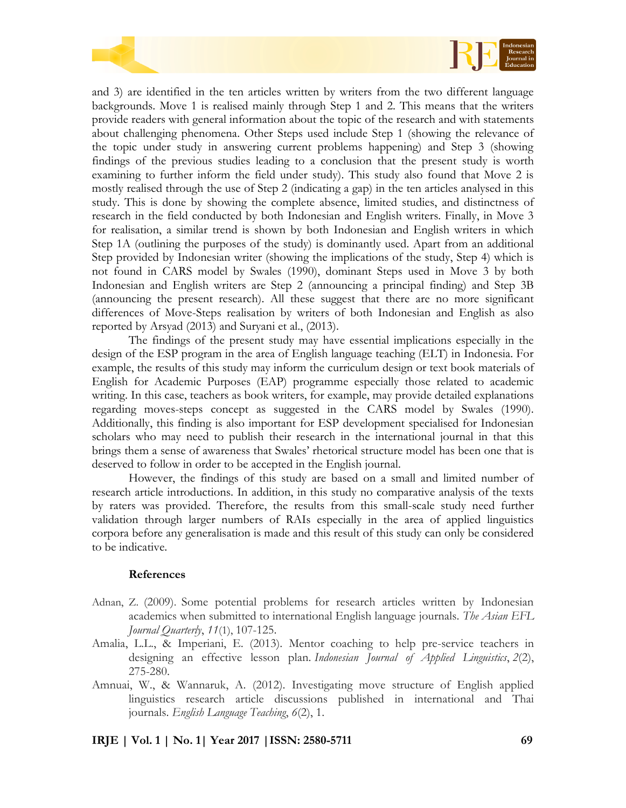



and 3) are identified in the ten articles written by writers from the two different language backgrounds. Move 1 is realised mainly through Step 1 and 2. This means that the writers provide readers with general information about the topic of the research and with statements about challenging phenomena. Other Steps used include Step 1 (showing the relevance of the topic under study in answering current problems happening) and Step 3 (showing findings of the previous studies leading to a conclusion that the present study is worth examining to further inform the field under study). This study also found that Move 2 is mostly realised through the use of Step 2 (indicating a gap) in the ten articles analysed in this study. This is done by showing the complete absence, limited studies, and distinctness of research in the field conducted by both Indonesian and English writers. Finally, in Move 3 for realisation, a similar trend is shown by both Indonesian and English writers in which Step 1A (outlining the purposes of the study) is dominantly used. Apart from an additional Step provided by Indonesian writer (showing the implications of the study, Step 4) which is not found in CARS model by Swales (1990), dominant Steps used in Move 3 by both Indonesian and English writers are Step 2 (announcing a principal finding) and Step 3B (announcing the present research). All these suggest that there are no more significant differences of Move-Steps realisation by writers of both Indonesian and English as also reported by Arsyad (2013) and Suryani et al., (2013).

The findings of the present study may have essential implications especially in the design of the ESP program in the area of English language teaching (ELT) in Indonesia. For example, the results of this study may inform the curriculum design or text book materials of English for Academic Purposes (EAP) programme especially those related to academic writing. In this case, teachers as book writers, for example, may provide detailed explanations regarding moves-steps concept as suggested in the CARS model by Swales (1990). Additionally, this finding is also important for ESP development specialised for Indonesian scholars who may need to publish their research in the international journal in that this brings them a sense of awareness that Swales' rhetorical structure model has been one that is deserved to follow in order to be accepted in the English journal.

However, the findings of this study are based on a small and limited number of research article introductions. In addition, in this study no comparative analysis of the texts by raters was provided. Therefore, the results from this small-scale study need further validation through larger numbers of RAIs especially in the area of applied linguistics corpora before any generalisation is made and this result of this study can only be considered to be indicative.

### **References**

- Adnan, Z. (2009). Some potential problems for research articles written by Indonesian academics when submitted to international English language journals. *The Asian EFL Journal Quarterly*, *11*(1), 107-125.
- Amalia, L.L., & Imperiani, E. (2013). Mentor coaching to help pre-service teachers in designing an effective lesson plan. *Indonesian Journal of Applied Linguistics*, *2*(2), 275-280.
- Amnuai, W., & Wannaruk, A. (2012). Investigating move structure of English applied linguistics research article discussions published in international and Thai journals. *English Language Teaching*, *6*(2), 1.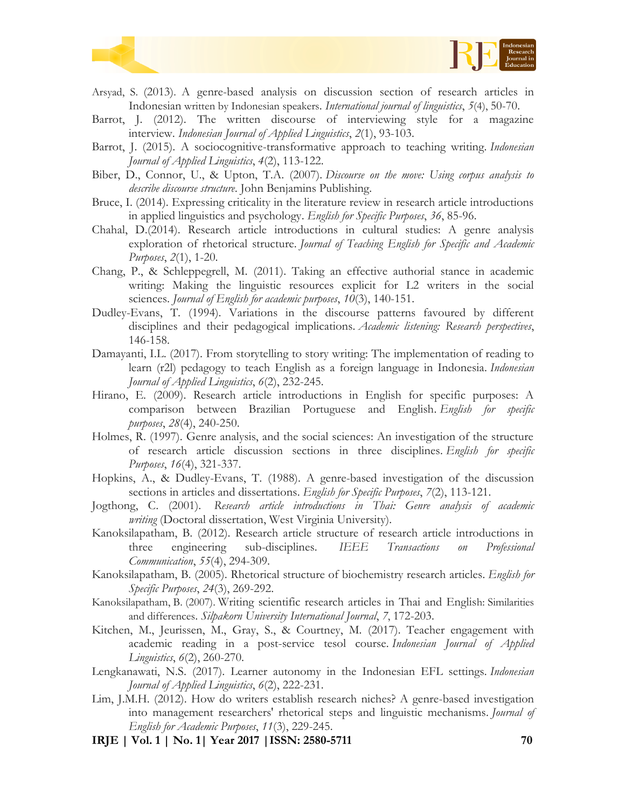



- Arsyad, S. (2013). A genre-based analysis on discussion section of research articles in Indonesian written by Indonesian speakers. *International journal of linguistics*, *5*(4), 50-70.
- Barrot, J. (2012). The written discourse of interviewing style for a magazine interview. *Indonesian Journal of Applied Linguistics*, *2*(1), 93-103.
- Barrot, J. (2015). A sociocognitive-transformative approach to teaching writing. *Indonesian Journal of Applied Linguistics*, *4*(2), 113-122.
- Biber, D., Connor, U., & Upton, T.A. (2007). *Discourse on the move: Using corpus analysis to describe discourse structure*. John Benjamins Publishing.
- Bruce, I. (2014). Expressing criticality in the literature review in research article introductions in applied linguistics and psychology. *English for Specific Purposes*, *36*, 85-96.
- Chahal, D.(2014). Research article introductions in cultural studies: A genre analysis exploration of rhetorical structure. *Journal of Teaching English for Specific and Academic Purposes*, *2*(1), 1-20.
- Chang, P., & Schleppegrell, M. (2011). Taking an effective authorial stance in academic writing: Making the linguistic resources explicit for L2 writers in the social sciences. *Journal of English for academic purposes*, *10*(3), 140-151.
- Dudley-Evans, T. (1994). Variations in the discourse patterns favoured by different disciplines and their pedagogical implications. *Academic listening: Research perspectives*, 146-158.
- Damayanti, I.L. (2017). From storytelling to story writing: The implementation of reading to learn (r2l) pedagogy to teach English as a foreign language in Indonesia. *Indonesian Journal of Applied Linguistics*, *6*(2), 232-245.
- Hirano, E. (2009). Research article introductions in English for specific purposes: A comparison between Brazilian Portuguese and English. *English for specific purposes*, *28*(4), 240-250.
- Holmes, R. (1997). Genre analysis, and the social sciences: An investigation of the structure of research article discussion sections in three disciplines. *English for specific Purposes*, *16*(4), 321-337.
- Hopkins, A., & Dudley-Evans, T. (1988). A genre-based investigation of the discussion sections in articles and dissertations. *English for Specific Purposes*, *7*(2), 113-121.
- Jogthong, C. (2001). *Research article introductions in Thai: Genre analysis of academic writing* (Doctoral dissertation, West Virginia University).
- Kanoksilapatham, B. (2012). Research article structure of research article introductions in three engineering sub-disciplines. *IEEE Transactions on Professional Communication*, *55*(4), 294-309.
- Kanoksilapatham, B. (2005). Rhetorical structure of biochemistry research articles. *English for Specific Purposes*, *24*(3), 269-292.
- Kanoksilapatham, B. (2007). Writing scientific research articles in Thai and English: Similarities and differences. *Silpakorn University International Journal*, *7*, 172-203.
- Kitchen, M., Jeurissen, M., Gray, S., & Courtney, M. (2017). Teacher engagement with academic reading in a post-service tesol course. *Indonesian Journal of Applied Linguistics*, *6*(2), 260-270.
- Lengkanawati, N.S. (2017). Learner autonomy in the Indonesian EFL settings. *Indonesian Journal of Applied Linguistics*, *6*(2), 222-231.
- Lim, J.M.H. (2012). How do writers establish research niches? A genre-based investigation into management researchers' rhetorical steps and linguistic mechanisms. *Journal of English for Academic Purposes*, *11*(3), 229-245.
- **IRJE | Vol. 1 | No. 1| Year 2017 |ISSN: 2580-5711 70**